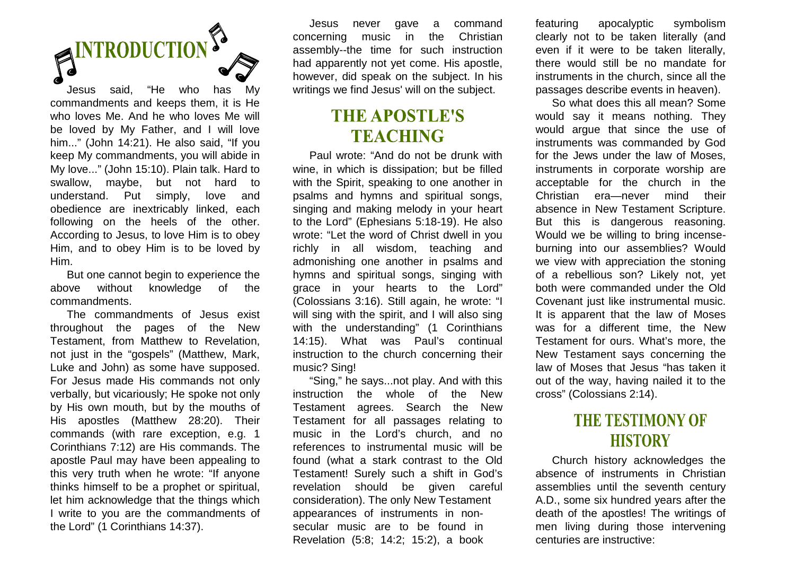# **ENTRODUCTION**

Jesus said, "He who has My commandments and keeps them, it is He who loves Me. And he who loves Me will be loved by My Father, and I will love him..." (John 14:21). He also said, "If you keep My commandments, you will abide in My love..." (John 15:10). Plain talk. Hard to swallow, maybe, but not hard to understand. Put simply, love and obedience are inextricably linked, each following on the heels of the other. According to Jesus, to love Him is to obey Him, and to obey Him is to be loved by Him.

 But one cannot begin to experience the above without knowledge of the commandments.

 The commandments of Jesus exist throughout the pages of the New Testament, from Matthew to Revelation, not just in the "gospels" (Matthew, Mark, Luke and John) as some have supposed. For Jesus made His commands not only verbally, but vicariously; He spoke not only by His own mouth, but by the mouths of His apostles (Matthew 28:20). Their commands (with rare exception, e.g. 1 Corinthians 7:12) are His commands. The apostle Paul may have been appealing to this very truth when he wrote: "If anyone thinks himself to be a prophet or spiritual, let him acknowledge that the things which I write to you are the commandments of the Lord" (1 Corinthians 14:37).

 Jesus never gave a command concerning music in the Christian assembly--the time for such instruction had apparently not yet come. His apostle, however, did speak on the subject. In his writings we find Jesus' will on the subject.

#### **THE APOSTLE'S TEACHING**

 Paul wrote: "And do not be drunk with wine, in which is dissipation; but be filled with the Spirit, speaking to one another in psalms and hymns and spiritual songs, singing and making melody in your heart to the Lord" (Ephesians 5:18-19). He also wrote: "Let the word of Christ dwell in you richly in all wisdom, teaching and admonishing one another in psalms and hymns and spiritual songs, singing with grace in your hearts to the Lord" (Colossians 3:16). Still again, he wrote: "I will sing with the spirit, and I will also sing with the understanding" (1 Corinthians 14:15). What was Paul's continual instruction to the church concerning their music? Sing!

 "Sing," he says...not play. And with this instruction the whole of the New Testament agrees. Search the New Testament for all passages relating to music in the Lord's church, and no references to instrumental music will be found (what a stark contrast to the Old Testament! Surely such a shift in God's revelation should be given careful consideration). The only New Testament appearances of instruments in nonsecular music are to be found in Revelation (5:8; 14:2; 15:2), a book

featuring apocalyptic symbolism clearly not to be taken literally (and even if it were to be taken literally, there would still be no mandate for instruments in the church, since all the passages describe events in heaven).

 So what does this all mean? Some would say it means nothing. They would argue that since the use of instruments was commanded by God for the Jews under the law of Moses, instruments in corporate worship are acceptable for the church in the Christian era—never mind their absence in New Testament Scripture. But this is dangerous reasoning. Would we be willing to bring incenseburning into our assemblies? Would we view with appreciation the stoning of a rebellious son? Likely not, yet both were commanded under the Old Covenant just like instrumental music. It is apparent that the law of Moses was for a different time, the New Testament for ours. What's more, the New Testament says concerning the law of Moses that Jesus "has taken it out of the way, having nailed it to the cross" (Colossians 2:14).

### **THE TESTIMONY OF HISTORY**

 Church history acknowledges the absence of instruments in Christian assemblies until the seventh century A.D., some six hundred years after the death of the apostles! The writings of men living during those intervening centuries are instructive: